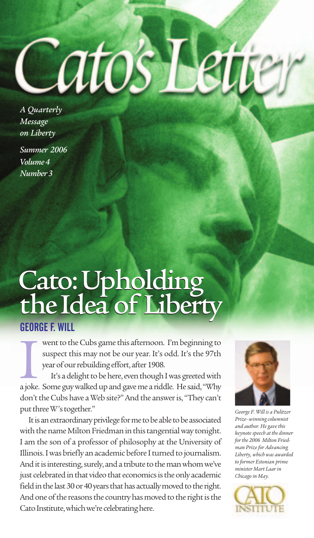*A Quarterly Message on Liberty Summer 2006 Volume4 Number3*

## Cato:Upholding the Idea of Liberty Cato:Upholding the Idea of Liberty

atos

## **GEORGE F. WILL**

went to the Cubs game this afternoon. I'm beginning to suspect this may not be our year. It's odd. It's the 97th year of our rebuilding effort, after 1908. went to the Cubs game this afternoon. I'm beginning to<br>suspect this may not be our year. It's odd. It's the 97th<br>year of our rebuilding effort, after 1908.<br>It's a delight to be here, even though I was greeted with<br>a joke.

It's a delight to be here, even though I was greeted with don't the Cubs have a Web site?" And the answer is, "They can't put three W's together."

It is an extraordinary privilege for me to be able to be associated with the name Milton Friedman in this tangential way tonight. I am the son of a professor of philosophy at the University of Illinois. I was briefly an academic before I turned to journalism. And it is interesting, surely, and a tribute to the man whom we've just celebrated in that video that economics is the only academic field in the last 30 or 40 years that has actually moved to the right. And one of the reasons the country has moved to the right is the Cato Institute, which we're celebrating here.



*George F. Will is a Pulitzer Prize–winningcolumnist and author.* He gave this *keynotespeech at the dinner forthe 2006 Milton Friedman Prizefor Advancing Liberty, which was awarded to former Estonian prime minister Mart Laarin Chicago in May.*

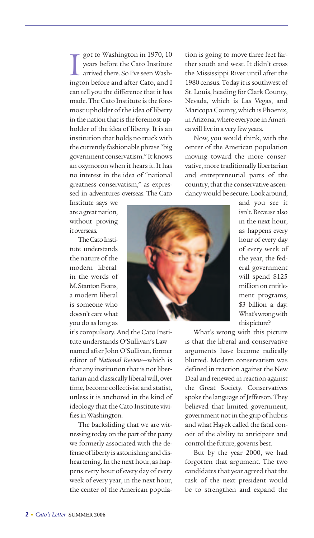got to Washington in 1970, 10<br>years before the Cato Institute<br>arrived there. So I've seen Wash-<br>ington before and after Cato, and I got to Washington in 1970, 10 years before the Cato Institute arrived there. So I've seen Washcan tell you the difference that it has made. The Cato Institute is the foremost upholder of the idea of liberty in the nation that is the foremost upholder of the idea of liberty. It is an institution that holds no truck with the currently fashionable phrase "big government conservatism." It knows an oxymoron when it hears it. It has no interest in the idea of "national greatness conservatism," as expressed in adventures overseas. The Cato

tion is going to move three feet farther south and west. It didn't cross the Mississippi River until after the 1980 census. Today it is southwest of St. Louis, heading for Clark County, Nevada, which is Las Vegas, and MaricopaCounty,which is Phoenix, in Arizona, where everyone in America will live in a very few years.

Now, you would think, with the center of the American population moving toward the more conservative, more traditionally libertarian and entrepreneurial parts of the country, that the conservative ascendancywould be secure. Lookaround,

Institute says we are a great nation, without proving itoverseas.

The Cato Institute understands the nature of the modern liberal: in the words of M. Stanton Evans, a modern liberal is someone who doesn't carewhat you do aslong as

it's compulsory. And the Cato Institute understands O'Sullivan's Law named after John O'Sullivan, former editor of *National Review*—which is that any institution that is not libertarian and classically liberalwill, over time, become collectivist and statist, unless it is anchored in the kind of ideology that the Cato Institute vivifies in Washington.

The backsliding that we are witnessing today on the part of the party we formerly associated with the defense of liberty is astonishing and disheartening. In the next hour, as happens every hour of every day of every week of every year, in the next hour, the center of the American popula-



What's wrong with this picture is that the liberal and conservative arguments have become radically blurred. Modern conservatism was defined in reaction against the New Deal and renewed in reaction against the Great Society. Conservatives spoke the language of Jefferson. They believed that limited government, government not in the grip of hubris andwhat Hayek called the fatal conceit of the ability to anticipate and control the future, governs best.

But by the year 2000, we had forgotten that argument. The two candidates that year agreed that the task of the next president would be to strengthen and expand the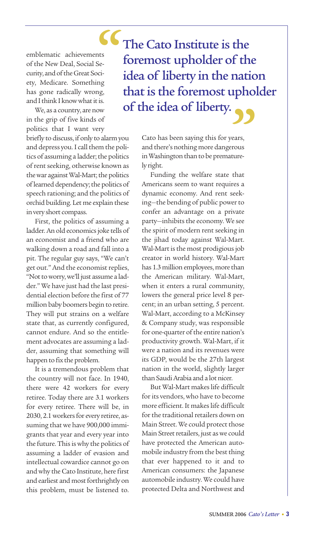emblematic achievements of the New Deal, Social Security, and of the Great Society, Medicare. Something has gone radically wrong, and I think I know what it is. **66**<br>Se-<br>ci-

We, as a country, are now in the grip of five kinds of politics that I want very

briefly to discuss, if only to alarm you and depress you. I call them the politics of assuming a ladder; the politics of rent seeking, otherwise known as the war against Wal-Mart; the politics of learned dependency; the politics of speech rationing; and the politics of orchid building. Let me explain these invery short compass.

First, the politics of assuming a ladder. An old economics joke tells of an economist and a friend who are walking down a road and fall into a pit. The regular guy says, "We can't get out." And the economist replies, "Not to worry, we'll just assume a ladder." We have just had the last presidential election before the first of 77 million baby boomers begin to retire. They will put strains on a welfare state that, as currently configured, cannot endure. And so the entitlement advocates are assuming a ladder, assuming that something will happen to fix the problem.

It is a tremendous problem that the country will not face. In 1940, there were 42 workers for every retiree. Today there are 3.1 workers for every retiree. There will be, in 2030, 2.1 workers for every retiree, assuming that we have 900,000 immigrants that year and every year into the future. This is why the politics of assuming a ladder of evasion and intellectual cowardice cannot go on and why the Cato Institute, here first and earliest and most forthrightly on this problem, must be listened to.

The Cato Institute is the foremost upholder of the idea of liberty in the nation that is the foremost upholder of the idea of liberty. **"**

> Cato has been saying this for years, and there's nothing more dangerous in Washington than to be prematurely right.

Funding the welfare state that Americans seem to want requires a dynamic economy. And rent seeking-the bending of public power to confer an advantage on a private party-inhibits the economy. We see the spirit of modern rent seeking in the jihad today against Wal-Mart. Wal-Mart is the most prodigious job creator in world history. Wal-Mart has 1.3 million employees, more than the American military. Wal-Mart, when it enters a rural community, lowers the general price level 8 percent; in an urban setting, 5 percent. Wal-Mart, according to a McKinsey & Company study, was responsible for one-quarter of the entire nation's productivity growth. Wal-Mart, if it were a nation and its revenues were its GDP, would be the 27th largest nation in the world, slightly larger than Saudi Arabia and a lot nicer.

But Wal-Mart makeslife difficult for its vendors, who have to become more efficient. It makeslife difficult for the traditional retailers down on Main Street. We could protect those Main Street retailers, just as we could have protected the American automobile industry from the best thing that ever happened to it and to American consumers: the Japanese automobile industry. We could have protected Delta and Northwest and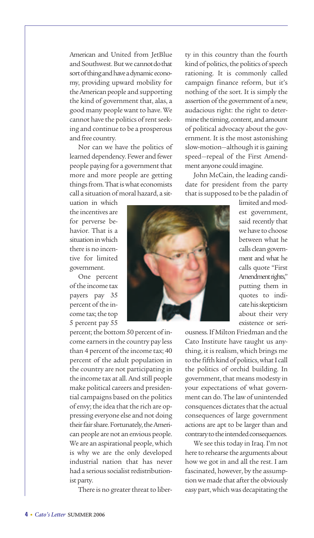American and United from JetBlue and Southwest. But we cannot do that sort of thing and have a dynamic economy, providing upward mobility for the American people and supporting the kind of government that, alas, a good many people want to have. We cannot have the politics of rent seeking and continue to be a prosperous and free country.

Nor can we have the politics of learned dependency. Fewer and fewer people paying for a government that more and more people are getting things from. That is what economists call a situation of moral hazard, a sit-

ty in this country than the fourth kind of politics, the politics of speech rationing. It is commonly called campaign finance reform, but it's nothing of the sort. It is simply the assertion of the government of a new, audacious right: the right to determine the timing, content, andamount of political advocacy about the government. It is the most astonishing slow-motion-although it is gaining speed—repeal of the First Amendment anyone could imagine.

John McCain, the leading candidate for president from the party that is supposed to be the paladin of

uation in which the incentives are for perverse behavior. That is a situationinwhich there is no incentive for limited government.

One percent ofthe income tax payers pay 35 percent of the income tax; the top 5 percent pay 55

percent; the bottom 50 percent of income earners in the country pay less than 4 percent of the income tax; 40 percent of the adult population in the country are not participating in the income tax at all. And still people make political careers and presidential campaigns based on the politics of envy; the idea that the rich are oppressing everyone else and not doing their fair share. Fortunately, the American people are not an envious people. We are an aspirational people, which is why we are the only developed industrial nation that has never had a serious socialist redistributionist party.

There is no greater threat to liber-

limited and modest government, said recently that we have to choose between what he calls clean government and what he calls quote "First Amendment rights," putting them in quotes to indicate his skepticism about their very existence or seri-

ousness.If Milton Friedman and the Cato Institute have taught us anything, it is realism, which brings me to the fifth kind of politics, what I call the politics of orchid building. In government, that means modesty in your expectations of what government can do. The lawof unintended consquences dictates that the actual consequences of large government actions are apt to be larger than and contrary to the intended consequences.

We see this today in Iraq. I'm not here to rehearse the arguments about how we got in and all the rest. I am fascinated, however, by the assumption we made that after the obviously easy part, which was decapitating the

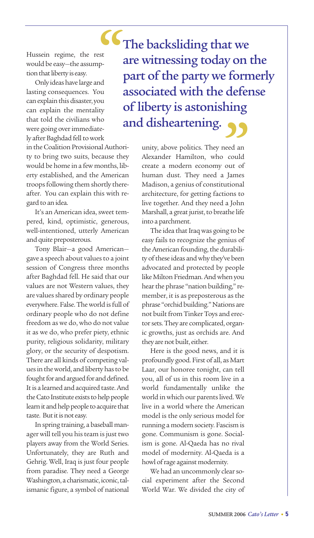Hussein regime, the rest would be easy—the assumption that liberty is easy.

Only ideas have large and lasting consequences. You can explain this disaster, you can explain the mentality that told the civilians who were going over immediately after Baghdad fell to work

in theCoalition Provisional Authority to bring two suits, because they would be home in a few months, liberty established, and the American troops following them shortly thereafter. You can explain this with regard to anidea.

It's an American idea, sweet tempered, kind, optimistic, generous, well-intentioned, utterly American and quite preposterous.

Tony Blair—a good American gave a speech about values to a joint session of Congress three months after Baghdad fell. He said that our values are not Western values, they are values shared by ordinary people everywhere. False. The world is full of ordinary people who do not define freedom as we do, who do not value it as we do, who prefer piety, ethnic purity, religious solidarity, military glory, or the security of despotism. There are all kinds of competing values in the world, and liberty has to be fought for and argued for and defined. It is a learned and acquired taste. And the Cato Institute exists to help people learn it and help people to acquire that taste. But it is not easy.

In spring training, a baseball manager will tell you his team is just two players away from the World Series. Unfortunately, they are Ruth and Gehrig. Well, Iraq is just four people from paradise. They need a George Washington, a charismatic, iconic, talismanic figure, a symbol of national

The backsliding that we are witnessing today on the part of the party we formerly associated with the defense of liberty is astonishing and disheartening. **SC**, st p-**"**

> unity, above politics. They need an Alexander Hamilton, who could create a modern economy out of human dust. They need a James Madison, a genius of constitutional architecture, for getting factions to live together. And they need a John Marshall, a great jurist, to breathe life into a parchment.

> The idea that Iraq was going to be easy fails to recognize the genius of the American founding, the durability of these ideas and why they've been advocated and protected by people like Milton Friedman.Andwhen you hear the phrase "nation building," remember, it is as preposterous as the phrase "orchid building." Nations are not built from Tinker Toys and erector sets. They are complicated, organic growths, just as orchids are. And they are not built, either.

> Here is the good news, and it is profoundly good. First of all, as Mart Laar, our honoree tonight, can tell you, all of us in this room live in a world fundamentally unlike the world in which our parents lived. We live in a world where the American model is the only serious model for running a modern society. Fascism is gone. Communism is gone. Socialism is gone. Al-Qaeda has no rival model of modernity. Al-Qaeda is a howl of rage against modernity.

> We had an uncommonly clear social experiment after the Second World War. We divided the city of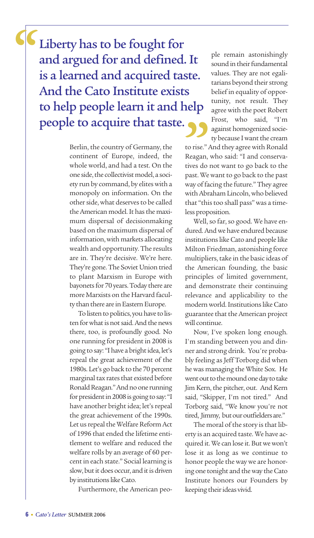Liberty has to be fought for and argued for and defined. It is a learned and acquired taste. And the Cato Institute exists to help people learn it and help<br>people to acquire that taste. people to acquire that taste. **"**

> Berlin, the country of Germany, the continent of Europe, indeed, the whole world, and had a test. On the one side, the collectivist model, a society run by command, by eliteswith a monopoly on information. On the other side, what deserves to be called the American model. It has the maximum dispersal of decisionmaking based on the maximum dispersal of information,with markets allocating wealth and opportunity. The results are in. They're decisive. We're here. They're gone. The Soviet Union tried to plant Marxism in Europe with bayonets for 70 years. Today there are more Marxists on the Harvard faculty than there are in Eastern Europe.

> To listen to politics, you have to listen for what is not said. And the news there, too, is profoundly good. No one running for president in 2008 is going to say: "I have a bright idea, let's repeal the great achievement of the 1980s. Let's go back to the 70 percent marginal tax rates that existed before Ronald Reagan." And no one running for president in 2008 is going to say: "I have another bright idea; let's repeal the great achievement of the 1990s. Let us repeal the Welfare Reform Act of 1996 that ended the lifetime entitlement to welfare and reduced the welfare rolls by an average of 60 percentin each state." Social learning is slow, but it does occur, and it is driven by institutions like Cato.

Furthermore, the American peo-

ple remain astonishingly sound in their fundamental values. They are not egalitarians beyond their strong belief in equality of opportunity, not result. They agree with the poet Robert Frost, who said, "I'm against homogenized society because I want the cream

to rise." And they agree with Ronald Reagan, who said: "I and conservatives do not want to go back to the past. We want to go back to the past way offacing the future." They agree with Abraham Lincoln,who believed that "this too shall pass" was a timeless proposition.

Well, so far, so good. We have endured. And we have endured because institutions like Cato and people like Milton Friedman, astonishing force multipliers, take in the basic ideas of the American founding, the basic principles of limited government, and demonstrate their continuing relevance and applicability to the modern world. Institutions like Cato guarantee that the American project will continue.

Now, I've spoken long enough. I'm standing between you and dinner and strong drink. You're probably feeling as Jeff Torborg did when he was managing the White Sox. He went out to the mound one day to take Jim Kern, the pitcher, out. And Kern said, "Skipper, I'm not tired." And Torborg said, "We know you're not tired, Jimmy, but our outfielders are."

The moral of the story is that liberty is an acquired taste. We have acquired it. We can lose it. But we won't lose it as long as we continue to honor people the way we are honoring one tonight and theway theCato Institute honors our Founders by keeping their ideas vivid.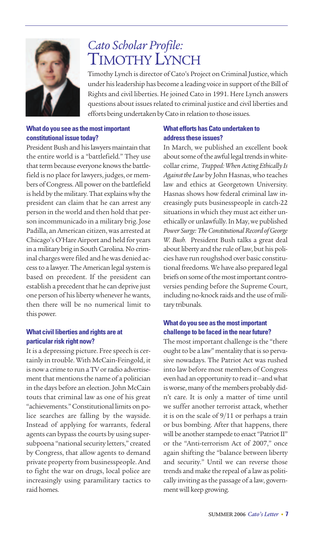

# *Cato Scholar Profile:* TIMOTHY LYNCH

Timothy Lynch is director of Cato's Project on Criminal Justice,which under his leadership has become a leading voice in support of the Bill of Rights and civil liberties. He joined Cato in 1991. Here Lynch answers questions about issues related to criminal justice and civil liberties and efforts being undertaken by Cato in relation to those issues.

#### **What do you see as the most important constitutional issue today?**

President Bush and his lawyers maintain that the entire world is a "battlefield." They use that term because everyone knows the battlefield is no place for lawyers, judges, or members ofCongress.All power on the battlefield is held by the military. That explainswhy the president can claim that he can arrest any person in the world and then hold that person incommunicado in a military brig. Jose Padilla, an American citizen,was arrested at Chicago's O'Hare Airport and held for years in a military brig in South Carolina. No criminal charges were filed and he was denied access to a lawyer. The American legal system is based on precedent. If the president can establish a precedent that he can deprive just one person of his liberty whenever he wants, then there will be no numerical limit to this power.

#### **What civil liberties and rights are at particular risk right now?**

It is a depressing picture. Free speech is certainly in trouble. With McCain-Feingold, it is now a crime to run a TV or radio advertisement that mentions the name of a politician in the days before an election. John McCain touts that criminal law as one of his great "achievements." Constitutional limits on police searches are falling by the wayside. Instead of applying for warrants, federal agents can bypass the courts by using supersubpoena "national security letters," created by Congress, that allow agents to demand private property from businesspeople. And to fight the war on drugs, local police are increasingly using paramilitary tactics to raid homes.

#### **What efforts has Cato undertaken to address these issues?**

In March, we published an excellent book about some of the awful legal trends in whitecollar crime, *Trapped: WhenActing Ethically Is Against the Law*by John Hasnas,who teaches law and ethics at Georgetown University. Hasnas shows how federal criminal law increasingly puts businesspeople in catch-22 situations in which they must act either unethically or unlawfully.In May,we published **Power Surge: The Constitutional Record of George** *W. Bush.* President Bush talks a great deal about liberty and the rule of law, but his policies have run roughshod over basic constitutional freedoms. We have also prepared legal briefs on some of the most important controversies pending before the Supreme Court, including no-knock raids and the use of military tribunals.

#### **What do you see as the most important challenge to be faced in the nearfuture?**

The most important challenge is the "there ought to be a law" mentality that is so pervasive nowadays. The Patriot Act was rushed into law before most members of Congress even had an opportunity to read it-and what is worse, many of the members probably didn't care. It is only a matter of time until we suffer another terrorist attack, whether it is on the scale of 9/11 or perhaps a train or bus bombing. After that happens, there will be another stampede to enact "Patriot II" or the "Anti-terrorism Act of 2007," once again shifting the "balance between liberty and security." Until we can reverse those trends and make the repeal of a lawas politically inviting as the passage of a law, governmentwill keep growing.